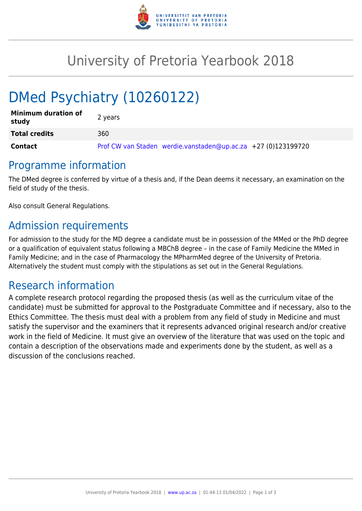

## University of Pretoria Yearbook 2018

# DMed Psychiatry (10260122)

| <b>Minimum duration of</b><br>study | 2 years                                                       |
|-------------------------------------|---------------------------------------------------------------|
| <b>Total credits</b>                | 360                                                           |
| <b>Contact</b>                      | Prof CW van Staden werdie.vanstaden@up.ac.za +27 (0)123199720 |

## Programme information

The DMed degree is conferred by virtue of a thesis and, if the Dean deems it necessary, an examination on the field of study of the thesis.

Also consult General Regulations.

## Admission requirements

For admission to the study for the MD degree a candidate must be in possession of the MMed or the PhD degree or a qualification of equivalent status following a MBChB degree – in the case of Family Medicine the MMed in Family Medicine; and in the case of Pharmacology the MPharmMed degree of the University of Pretoria. Alternatively the student must comply with the stipulations as set out in the General Regulations.

## Research information

A complete research protocol regarding the proposed thesis (as well as the curriculum vitae of the candidate) must be submitted for approval to the Postgraduate Committee and if necessary, also to the Ethics Committee. The thesis must deal with a problem from any field of study in Medicine and must satisfy the supervisor and the examiners that it represents advanced original research and/or creative work in the field of Medicine. It must give an overview of the literature that was used on the topic and contain a description of the observations made and experiments done by the student, as well as a discussion of the conclusions reached.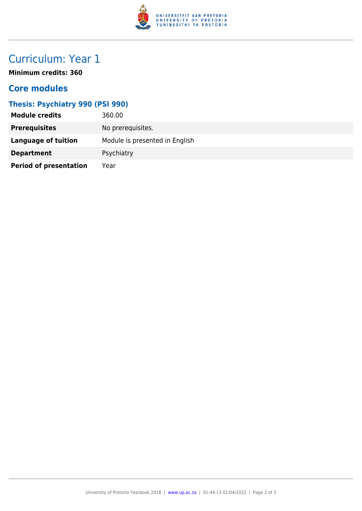

## Curriculum: Year 1

**Minimum credits: 360**

#### **Core modules**

#### **Thesis: Psychiatry 990 (PSI 990)**

| <b>Module credits</b>         | 360.00                         |
|-------------------------------|--------------------------------|
| <b>Prerequisites</b>          | No prerequisites.              |
| <b>Language of tuition</b>    | Module is presented in English |
| <b>Department</b>             | Psychiatry                     |
| <b>Period of presentation</b> | Year                           |